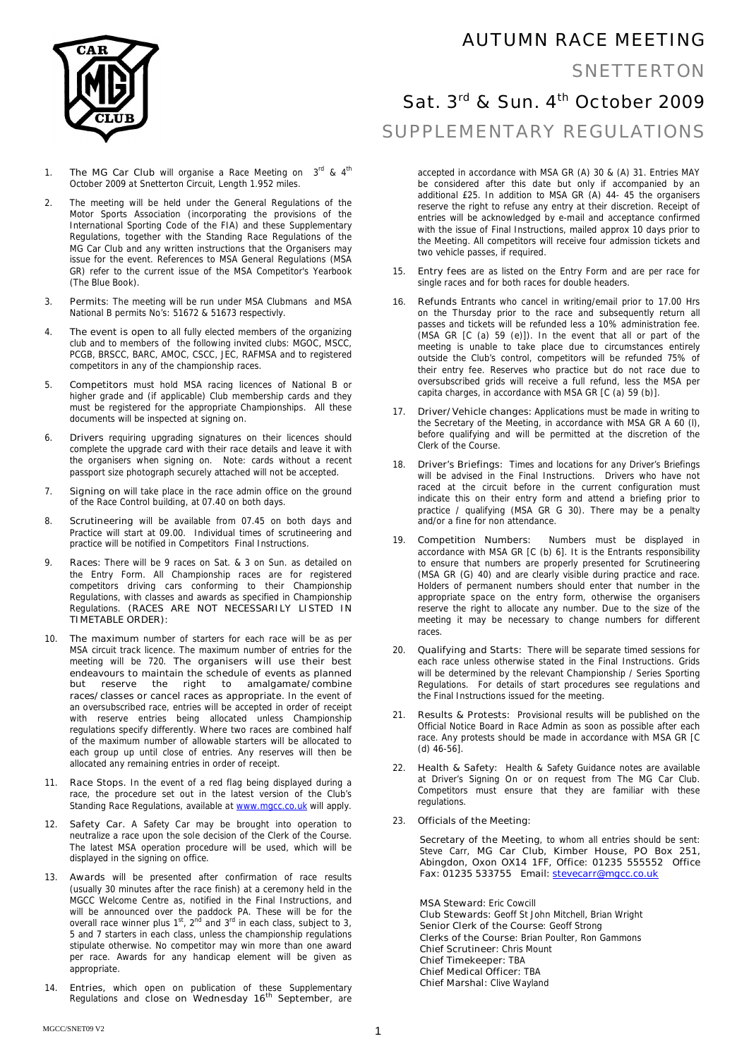

- 1. **The MG Car Club** will organise a Race Meeting on 3<sup>rd</sup> & 4<sup>th</sup> October 2009 at Snetterton Circuit, Length 1.952 miles.
- 2. The meeting will be held under the General Regulations of the Motor Sports Association (incorporating the provisions of the International Sporting Code of the FIA) and these Supplementary Regulations, together with the Standing Race Regulations of the MG Car Club and any written instructions that the Organisers may issue for the event. References to MSA General Regulations (MSA GR) refer to the current issue of the MSA Competitor's Yearbook (The Blue Book).
- 3. **Permits**: The meeting will be run under MSA Clubmans and MSA National B permits No's: 51672 & 51673 respectivly.
- 4. **The event is open to** all fully elected members of the organizing club and to members of the following invited clubs: MGOC, MSCC, PCGB, BRSCC, BARC, AMOC, CSCC, JEC, RAFMSA and to registered competitors in any of the championship races.
- 5. **Competitors** must hold MSA racing licences of National B or higher grade and (if applicable) Club membership cards and they must be registered for the appropriate Championships. All these documents will be inspected at signing on.
- 6. **Drivers** requiring upgrading signatures on their licences should complete the upgrade card with their race details and leave it with the organisers when signing on. Note: cards without a recent passport size photograph securely attached will not be accepted.
- 7. **Signing on** will take place in the race admin office on the ground of the Race Control building, at 07.40 on both days.
- 8. **Scrutineering** will be available from 07.45 on both days and Practice will start at 09.00. Individual times of scrutineering and practice will be notified in Competitors Final Instructions.
- 9. **Races:** There will be 9 races on Sat. & 3 on Sun. as detailed on the Entry Form. All Championship races are for registered competitors driving cars conforming to their Championship Regulations, with classes and awards as specified in Championship Regulations. **(RACES ARE NOT NECESSARILY LISTED IN TIMETABLE ORDER):**
- 10. **The maximum** number of starters for each race will be as per MSA circuit track licence. The maximum number of entries for the meeting will be 720. **The organisers will use their best endeavours to maintain the schedule of events as planned but reserve the right to amalgamate/combine races/classes or cancel races as appropriate.** In the event of an oversubscribed race, entries will be accepted in order of receipt with reserve entries being allocated unless Championship regulations specify differently. Where two races are combined half of the maximum number of allowable starters will be allocated to each group up until close of entries. Any reserves will then be allocated any remaining entries in order of receipt.
- 11. **Race Stops.** In the event of a red flag being displayed during a race, the procedure set out in the latest version of the Club's Standing Race Regulations, available at www.mgcc.co.uk will apply.
- 12. **Safety Car.** A Safety Car may be brought into operation to neutralize a race upon the sole decision of the Clerk of the Course. The latest MSA operation procedure will be used, which will be displayed in the signing on office.
- 13. **Awards** will be presented after confirmation of race results (usually 30 minutes after the race finish) at a ceremony held in the MGCC Welcome Centre as, notified in the Final Instructions, and will be announced over the paddock PA. These will be for the overall race winner plus 1<sup>st</sup>, 2<sup>nd</sup> and 3<sup>rd</sup> in each class, subject to 3, 5 and 7 starters in each class, unless the championship regulations stipulate otherwise. No competitor may win more than one award per race. Awards for any handicap element will be given as appropriate.
- 14. **Entries,** which open on publication of these Supplementary Regulations and **close on Wednesday 16th September**, are

## AUTUMN RACE MEETING

### SNETTERTON

# Sat.  $3<sup>rd</sup>$  & Sun.  $4<sup>th</sup>$  October 2009 SUPPLEMENTARY REGULATIONS

accepted in accordance with MSA GR (A) 30 & (A) 31. Entries MAY be considered after this date but only if accompanied by an additional £25. In addition to MSA GR (A) 44- 45 the organisers reserve the right to refuse any entry at their discretion. Receipt of entries will be acknowledged by e-mail and acceptance confirmed with the issue of Final Instructions, mailed approx 10 days prior to the Meeting. All competitors will receive four admission tickets and two vehicle passes, if required.

- 15. **Entry fees** are as listed on the Entry Form and are per race for single races and for both races for double headers.
- 16. **Refunds** Entrants who cancel in writing/email prior to 17.00 Hrs on the Thursday prior to the race and subsequently return all passes and tickets will be refunded less a 10% administration fee. (MSA GR [C (a) 59 (e)]). In the event that all or part of the meeting is unable to take place due to circumstances entirely outside the Club's control, competitors will be refunded 75% of their entry fee. Reserves who practice but do not race due to oversubscribed grids will receive a full refund, less the MSA per capita charges, in accordance with MSA GR [C (a) 59 (b)].
- 17. **Driver/Vehicle changes:** Applications must be made in writing to the Secretary of the Meeting, in accordance with MSA GR A 60 (l), before qualifying and will be permitted at the discretion of the Clerk of the Course.
- 18. **Driver's Briefings:** Times and locations for any Driver's Briefings will be advised in the Final Instructions. Drivers who have not raced at the circuit before in the current configuration must indicate this on their entry form and attend a briefing prior to practice / qualifying (MSA GR G 30). There may be a penalty and/or a fine for non attendance.
- 19. **Competition Numbers:** Numbers must be displayed in accordance with MSA GR [C (b) 6]. It is the Entrants responsibility to ensure that numbers are properly presented for Scrutineering (MSA GR (G) 40) and are clearly visible during practice and race. Holders of permanent numbers should enter that number in the appropriate space on the entry form, otherwise the organisers reserve the right to allocate any number. Due to the size of the meeting it may be necessary to change numbers for different races.
- 20. **Qualifying and Starts:** There will be separate timed sessions for each race unless otherwise stated in the Final Instructions. Grids will be determined by the relevant Championship / Series Sporting Regulations. For details of start procedures see regulations and the Final Instructions issued for the meeting.
- 21. **Results & Protests:** Provisional results will be published on the Official Notice Board in Race Admin as soon as possible after each race. Any protests should be made in accordance with MSA GR [C (d) 46-56].
- 22. **Health & Safety:** Health & Safety Guidance notes are available at Driver's Signing On or on request from The MG Car Club. Competitors must ensure that they are familiar with these regulations.
- 23. **Officials of the Meeting:**

 **Secretary of the Meeting**, to whom all entries should be sent: Steve Carr, **MG Car Club, Kimber House, PO Box 251, Abingdon, Oxon OX14 1FF, Office: 01235 555552 Office Fax: 01235 533755 Email: stevecarr@mgcc.co.uk**

**MSA Steward:** Eric Cowcill **Club Stewards:** Geoff St John Mitchell, Brian Wright **Senior Clerk of the Course**: Geoff Strong **Clerks of the Course:** Brian Poulter, Ron Gammons **Chief Scrutineer:** Chris Mount **Chief Timekeeper:** TBA **Chief Medical Officer:** TBA **Chief Marshal:** Clive Wayland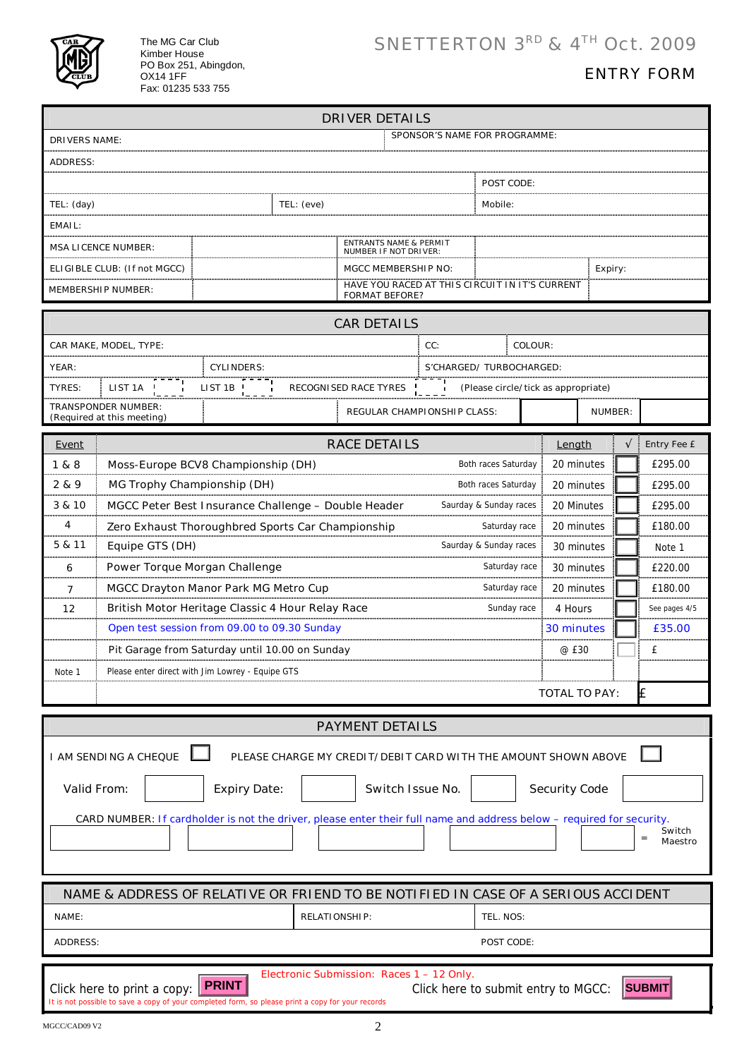

The MG Car Club Kimber House PO Box 251, Abingdon, OX14 1FF Fax: 01235 533 755

## ENTRY FORM

|                                                                                                                                 |                                                                                                        |                                                                                                                 |                                                                         | <b>DRIVER DETAILS</b>                                          |            |                                            |                      |         |                               |
|---------------------------------------------------------------------------------------------------------------------------------|--------------------------------------------------------------------------------------------------------|-----------------------------------------------------------------------------------------------------------------|-------------------------------------------------------------------------|----------------------------------------------------------------|------------|--------------------------------------------|----------------------|---------|-------------------------------|
| SPONSOR'S NAME FOR PROGRAMME:<br><b>DRIVERS NAME:</b>                                                                           |                                                                                                        |                                                                                                                 |                                                                         |                                                                |            |                                            |                      |         |                               |
| <b>ADDRESS:</b>                                                                                                                 |                                                                                                        |                                                                                                                 |                                                                         |                                                                |            |                                            |                      |         |                               |
|                                                                                                                                 |                                                                                                        |                                                                                                                 |                                                                         |                                                                |            | POST CODE:                                 |                      |         |                               |
| TEL: (day)                                                                                                                      |                                                                                                        |                                                                                                                 | TEL: (eve)                                                              |                                                                |            | Mobile:                                    |                      |         |                               |
| EMAIL:                                                                                                                          |                                                                                                        |                                                                                                                 |                                                                         |                                                                |            |                                            |                      |         |                               |
|                                                                                                                                 | <b>MSA LICENCE NUMBER:</b>                                                                             |                                                                                                                 |                                                                         | <b>ENTRANTS NAME &amp; PERMIT</b>                              |            |                                            |                      |         |                               |
| ELIGIBLE CLUB: (If not MGCC)                                                                                                    |                                                                                                        |                                                                                                                 | <b>NUMBER IF NOT DRIVER:</b><br><b>MGCC MEMBERSHIP NO:</b>              |                                                                | Expiry:    |                                            |                      |         |                               |
| <b>MEMBERSHIP NUMBER:</b>                                                                                                       |                                                                                                        |                                                                                                                 | HAVE YOU RACED AT THIS CIRCUIT IN IT'S CURRENT<br><b>FORMAT BEFORE?</b> |                                                                |            |                                            |                      |         |                               |
|                                                                                                                                 |                                                                                                        |                                                                                                                 |                                                                         |                                                                |            |                                            |                      |         |                               |
| <b>CAR DETAILS</b><br>CC:<br>COLOUR:<br>CAR MAKE, MODEL, TYPE:                                                                  |                                                                                                        |                                                                                                                 |                                                                         |                                                                |            |                                            |                      |         |                               |
| YEAR:                                                                                                                           |                                                                                                        | <b>CYLINDERS:</b>                                                                                               |                                                                         |                                                                |            | S'CHARGED/ TURBOCHARGED:                   |                      |         |                               |
| TYRES:                                                                                                                          | LIST 1A                                                                                                | LIST 1B                                                                                                         |                                                                         | <b>RECOGNISED RACE TYRES</b>                                   |            | (Please circle/tick as appropriate)        |                      |         |                               |
|                                                                                                                                 | <b>TRANSPONDER NUMBER:</b><br>(Required at this meeting)                                               |                                                                                                                 |                                                                         | <b>REGULAR CHAMPIONSHIP CLASS:</b>                             |            |                                            |                      | NUMBER: |                               |
|                                                                                                                                 |                                                                                                        |                                                                                                                 |                                                                         |                                                                |            |                                            |                      |         |                               |
| Event<br>1 & 8                                                                                                                  |                                                                                                        |                                                                                                                 |                                                                         | <b>RACE DETAILS</b>                                            |            |                                            | Length<br>20 minutes |         | <b>Entry Fee £</b><br>£295.00 |
| 2 & 9                                                                                                                           | Moss-Europe BCV8 Championship (DH)<br>MG Trophy Championship (DH)                                      |                                                                                                                 |                                                                         |                                                                |            | Both races Saturday<br>Both races Saturday | 20 minutes           |         | £295.00                       |
| 3 & 10                                                                                                                          |                                                                                                        |                                                                                                                 |                                                                         |                                                                |            |                                            |                      |         |                               |
| 4                                                                                                                               | MGCC Peter Best Insurance Challenge - Double Header<br>20 Minutes<br>£295.00<br>Saurday & Sunday races |                                                                                                                 |                                                                         |                                                                |            |                                            |                      |         |                               |
| 5 & 11                                                                                                                          | 20 minutes<br>£180.00<br>Zero Exhaust Thoroughbred Sports Car Championship<br>Saturday race            |                                                                                                                 |                                                                         |                                                                |            |                                            |                      |         |                               |
|                                                                                                                                 | Saurday & Sunday races<br>Equipe GTS (DH)<br>30 minutes<br>Note 1<br>30 minutes                        |                                                                                                                 |                                                                         |                                                                | £220.00    |                                            |                      |         |                               |
| 6<br>$\overline{7}$                                                                                                             |                                                                                                        | Power Torque Morgan Challenge<br>Saturday race                                                                  |                                                                         |                                                                | 20 minutes |                                            | £180.00              |         |                               |
| 12                                                                                                                              | MGCC Drayton Manor Park MG Metro Cup<br>Saturday race                                                  |                                                                                                                 |                                                                         | 4 Hours                                                        |            | See pages 4/5                              |                      |         |                               |
|                                                                                                                                 |                                                                                                        | British Motor Heritage Classic 4 Hour Relay Race<br>Sunday race<br>Open test session from 09.00 to 09.30 Sunday |                                                                         |                                                                |            | 30 minutes                                 |                      | £35.00  |                               |
|                                                                                                                                 |                                                                                                        |                                                                                                                 |                                                                         | @ £30                                                          |            | £                                          |                      |         |                               |
| Note 1                                                                                                                          | Pit Garage from Saturday until 10.00 on Sunday<br>Please enter direct with Jim Lowrey - Equipe GTS     |                                                                                                                 |                                                                         |                                                                |            |                                            |                      |         |                               |
|                                                                                                                                 | <b>TOTAL TO PAY:</b>                                                                                   |                                                                                                                 |                                                                         |                                                                |            | £                                          |                      |         |                               |
|                                                                                                                                 |                                                                                                        |                                                                                                                 |                                                                         |                                                                |            |                                            |                      |         |                               |
|                                                                                                                                 |                                                                                                        |                                                                                                                 |                                                                         | <b>PAYMENT DETAILS</b>                                         |            |                                            |                      |         |                               |
|                                                                                                                                 | <b>I AM SENDING A CHEQUE</b>                                                                           |                                                                                                                 |                                                                         | PLEASE CHARGE MY CREDIT/DEBIT CARD WITH THE AMOUNT SHOWN ABOVE |            |                                            |                      |         |                               |
| <b>Valid From:</b><br><b>Expiry Date:</b><br><b>Security Code</b><br>Switch Issue No.                                           |                                                                                                        |                                                                                                                 |                                                                         |                                                                |            |                                            |                      |         |                               |
|                                                                                                                                 |                                                                                                        |                                                                                                                 |                                                                         |                                                                |            |                                            |                      |         |                               |
| CARD NUMBER: If cardholder is not the driver, please enter their full name and address below - required for security.<br>Switch |                                                                                                        |                                                                                                                 |                                                                         |                                                                |            |                                            |                      |         |                               |
|                                                                                                                                 |                                                                                                        |                                                                                                                 |                                                                         |                                                                |            |                                            |                      |         | $=$<br>Maestro                |
|                                                                                                                                 |                                                                                                        |                                                                                                                 |                                                                         |                                                                |            |                                            |                      |         |                               |
| NAME & ADDRESS OF RELATIVE OR FRIEND TO BE NOTIFIED IN CASE OF A SERIOUS ACCIDENT                                               |                                                                                                        |                                                                                                                 |                                                                         |                                                                |            |                                            |                      |         |                               |
| <b>RELATIONSHIP:</b><br>NAME:                                                                                                   |                                                                                                        |                                                                                                                 |                                                                         | TEL. NOS:                                                      |            |                                            |                      |         |                               |
| <b>ADDRESS:</b><br>POST CODE:                                                                                                   |                                                                                                        |                                                                                                                 |                                                                         |                                                                |            |                                            |                      |         |                               |
|                                                                                                                                 |                                                                                                        |                                                                                                                 |                                                                         | Electronic Submission: Races 1 - 12 Only.                      |            |                                            |                      |         |                               |
|                                                                                                                                 | Click here to print a copy:                                                                            | <b>PRINT</b>                                                                                                    |                                                                         |                                                                |            | Click here to submit entry to MGCC:        |                      |         | <b>SUBMIT</b>                 |
| It is not possible to save a copy of your completed form, so please print a copy for your records                               |                                                                                                        |                                                                                                                 |                                                                         |                                                                |            |                                            |                      |         |                               |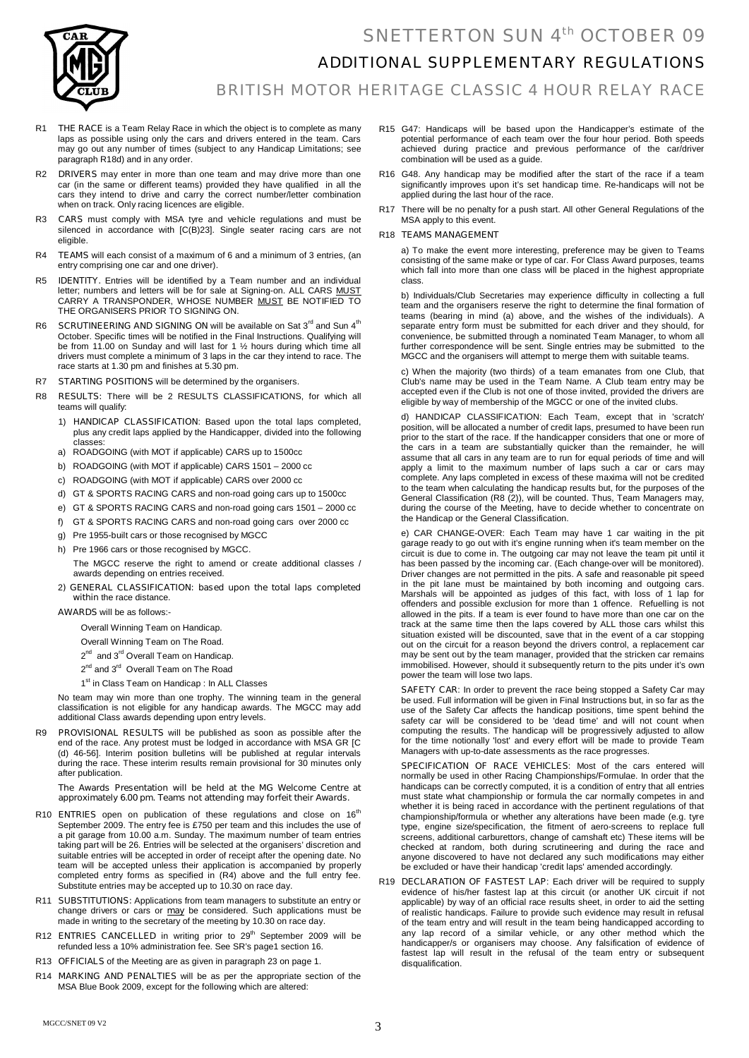### SNETTERTON SUN 4th OCTOBER 09



### ADDITIONAL SUPPLEMENTARY REGULATIONS

BRITISH MOTOR HERITAGE CLASSIC 4 HOUR RELAY RACE

- R1 **THE RACE** is a Team Relay Race in which the object is to complete as many laps as possible using only the cars and drivers entered in the team. Cars may go out any number of times (subject to any Handicap Limitations; see paragraph R18d) and in any order.
- R2 **DRIVERS** may enter in more than one team and may drive more than one car (in the same or different teams) provided they have qualified in all the cars they intend to drive and carry the correct number/letter combination when on track. Only racing licences are eligible.
- R3 **CARS** must comply with MSA tyre and vehicle regulations and must be silenced in accordance with [C(B)23]. Single seater racing cars are not eligible
- R4 **TEAMS** will each consist of a maximum of 6 and a minimum of 3 entries, (an entry comprising one car and one driver).
- R5 **IDENTITY.** Entries will be identified by a Team number and an individual letter; numbers and letters will be for sale at Signing-on. ALL CARS MUST CARRY A TRANSPONDER, WHOSE NUMBER <u>MUST</u> BE NOTIFIED TO THE ORGANISERS PRIOR TO SIGNING ON.
- R6 **SCRUTINEERING AND SIGNING ON** will be available on Sat 3<sup>rd</sup> and Sun 4<sup>th</sup> October. Specific times will be notified in the Final Instructions. Qualifying will be from 11.00 on Sunday and will last for 1  $\frac{1}{2}$  hours during which time all drivers must complete a minimum of 3 laps in the car they intend to race. The race starts at 1.30 pm and finishes at 5.30 pm.
- R7 **STARTING POSITIONS** will be determined by the organisers.
- R8 **RESULTS:** There will be 2 RESULTS CLASSIFICATIONS, for which all teams will qualify:
	- 1) **HANDICAP CLASSIFICATION**: Based upon the total laps completed, plus any credit laps applied by the Handicapper, divided into the following classes:
	- a) ROADGOING (with MOT if applicable) CARS up to 1500cc
	- b) ROADGOING (with MOT if applicable) CARS 1501 2000 cc
	- c) ROADGOING (with MOT if applicable) CARS over 2000 cc
	- d) GT & SPORTS RACING CARS and non-road going cars up to 1500cc
	- e) GT & SPORTS RACING CARS and non-road going cars 1501 2000 cc
	- f) GT & SPORTS RACING CARS and non-road going cars over 2000 cc
	- g) Pre 1955-built cars or those recognised by MGCC
	- h) Pre 1966 cars or those recognised by MGCC.

The MGCC reserve the right to amend or create additional classes / awards depending on entries received.

#### 2**) GENERAL CLASSIFICATION: based upon the total laps completed within** the race distance.

**AWARDS** will be as follows:-

Overall Winning Team on Handicap.

- Overall Winning Team on The Road.
- 2<sup>nd</sup> and 3<sup>rd</sup> Overall Team on Handicap.
- 2<sup>nd</sup> and 3<sup>rd</sup> Overall Team on The Road
- 1<sup>st</sup> in Class Team on Handicap : In ALL Classe

No team may win more than one trophy. The winning team in the general classification is not eligible for any handicap awards. The MGCC may add additional Class awards depending upon entry levels.

R9 **PROVISIONAL RESULTS** will be published as soon as possible after the end of the race. Any protest must be lodged in accordance with MSA GR [C (d) 46-56]. Interim position bulletins will be published at regular intervals during the race. These interim results remain provisional for 30 minutes only after publication.

#### **The Awards Presentation will be held at the MG Welcome Centre at approximately 6.00 pm. Teams not attending may forfeit their Awards.**

- R10 **ENTRIES** open on publication of these regulations and close on 16<sup>th</sup> September 2009. The entry fee is £750 per team and this includes the use of a pit garage from 10.00 a.m. Sunday. The maximum number of team entries taking part will be 26. Entries will be selected at the organisers' discretion and suitable entries will be accepted in order of receipt after the opening date. No team will be accepted unless their application is accompanied by properly completed entry forms as specified in (R4) above and the full entry fee. Substitute entries may be accepted up to 10.30 on race day.
- R11 **SUBSTITUTIONS:** Applications from team managers to substitute an entry or change drivers or cars or **may** be considered. Such applications must be made in writing to the secretary of the meeting by 10.30 on race day.
- R12 **ENTRIES CANCELLED** in writing prior to 29<sup>th</sup> September 2009 will be refunded less a 10% administration fee. See SR's page1 section 16.
- R13 **OFFICIALS** of the Meeting are as given in paragraph 23 on page 1.
- R14 **MARKING AND PENALTIES** will be as per the appropriate section of the MSA Blue Book 2009, except for the following which are altered:
- R15 G47: Handicaps will be based upon the Handicapper's estimate of the potential performance of each team over the four hour period. Both speeds achieved during practice and previous performance of the car/driver combination will be used as a guide.
- R16 G48. Any handicap may be modified after the start of the race if a team significantly improves upon it's set handicap time. Re-handicaps will not be applied during the last hour of the race.
- R17 There will be no penalty for a push start. All other General Regulations of the MSA apply to this event.

#### R18 **TEAMS MANAGEMENT**

a) To make the event more interesting, preference may be given to Teams consisting of the same make or type of car. For Class Award purposes, teams which fall into more than one class will be placed in the highest appropriate class.

b) Individuals/Club Secretaries may experience difficulty in collecting a full team and the organisers reserve the right to determine the final formation of teams (bearing in mind (a) above, and the wishes of the individuals). A separate entry form must be submitted for each driver and they should, for convenience, be submitted through a nominated Team Manager, to whom all further correspondence will be sent. Single entries may be submitted to the MGCC and the organisers will attempt to merge them with suitable teams.

c) When the majority (two thirds) of a team emanates from one Club, that Club's name may be used in the Team Name. A Club team entry may be accepted even if the Club is not one of those invited, provided the drivers are eligible by way of membership of the MGCC or one of the invited clubs.

d) HANDICAP CLASSIFICATION: Each Team, except that in 'scratch' position, will be allocated a number of credit laps, presumed to have been run prior to the start of the race. If the handicapper considers that one or more of the cars in a team are substantially quicker than the remainder, he will assume that all cars in any team are to run for equal periods of time and will apply a limit to the maximum number of laps such a car or cars may complete. Any laps completed in excess of these maxima will not be credited to the team when calculating the handicap results but, for the purposes of the General Classification (R8 (2)), will be counted. Thus, Team Managers may, during the course of the Meeting, have to decide whether to concentrate on the Handicap or the General Classification.

e) CAR CHANGE-OVER: Each Team may have 1 car waiting in the pit garage ready to go out with it's engine running when it's team member on the circuit is due to come in. The outgoing car may not leave the team pit until it has been passed by the incoming car. (Each change-over will be monitored). Driver changes are not permitted in the pits. A safe and reasonable pit speed in the pit lane must be maintained by both incoming and outgoing cars. Marshals will be appointed as judges of this fact, with loss of 1 lap for offenders and possible exclusion for more than 1 offence. Refuelling is not allowed in the pits. If a team is ever found to have more than one car on the track at the same time then the laps covered by ALL those cars whilst this situation existed will be discounted, save that in the event of a car stopping out on the circuit for a reason beyond the drivers control, a replacement car may be sent out by the team manager, provided that the stricken car remains immobilised. However, should it subsequently return to the pits under it's own power the team will lose two laps.

**SAFETY CAR**: In order to prevent the race being stopped a Safety Car may be used. Full information will be given in Final Instructions but, in so far as the use of the Safety Car affects the handicap positions, time spent behind the safety car will be considered to be 'dead time' and will not count when computing the results. The handicap will be progressively adjusted to allow for the time notionally 'lost' and every effort will be made to provide Team Managers with up-to-date assessments as the race progresses.

**SPECIFICATION OF RACE VEHICLES**: Most of the cars entered will normally be used in other Racing Championships/Formulae. In order that the handicaps can be correctly computed, it is a condition of entry that all entries must state what championship or formula the car normally competes in and whether it is being raced in accordance with the pertinent regulations of that championship/formula or whether any alterations have been made (e.g. tyre type, engine size/specification, the fitment of aero-screens to replace full screens, additional carburettors, change of camshaft etc) These items will be checked at random, both during scrutineering and during the race and anyone discovered to have not declared any such modifications may either be excluded or have their handicap 'credit laps' amended accordingly.

R19 **DECLARATION OF FASTEST LAP**: Each driver will be required to supply evidence of his/her fastest lap at this circuit (or another UK circuit if not applicable) by way of an official race results sheet, in order to aid the setting of realistic handicaps. Failure to provide such evidence may result in refusal of the team entry and will result in the team being handicapped according to any lap record of a similar vehicle, or any other method which the handicapper/s or organisers may choose. Any falsification of evidence of fastest lap will result in the refusal of the team entry or subsequent disqualification.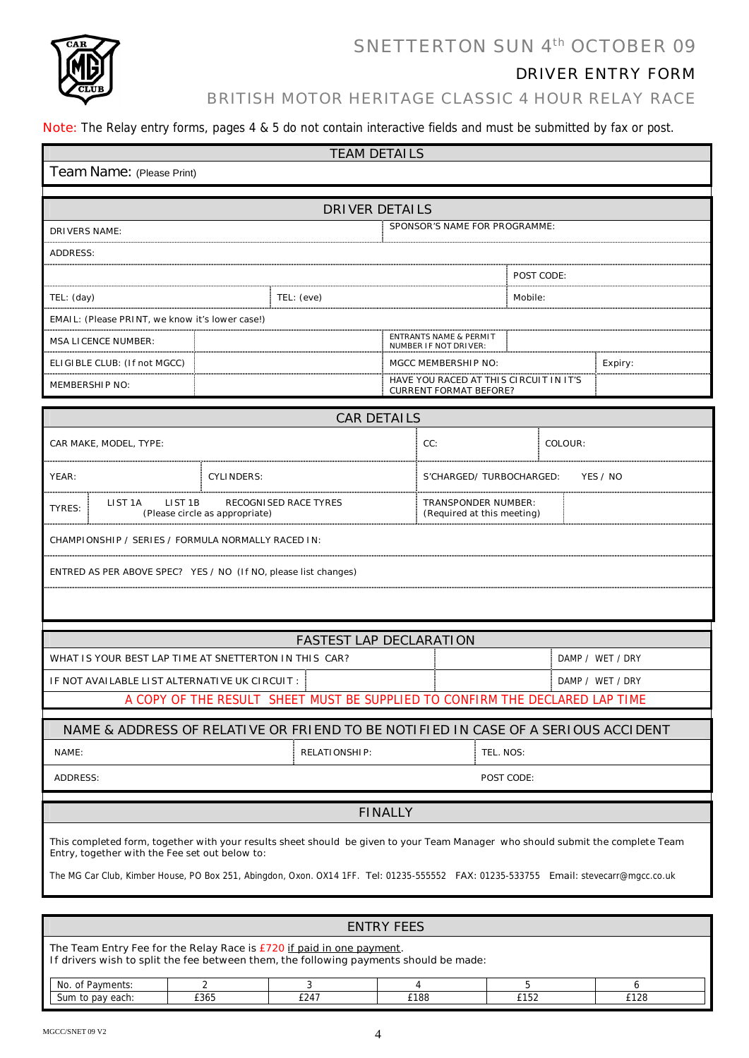

# SNETTERTON SUN 4th OCTOBER 09

### DRIVER ENTRY FORM

### BRITISH MOTOR HERITAGE CLASSIC 4 HOUR RELAY RACE

**Note:** The Relay entry forms, pages 4 & 5 do not contain interactive fields and must be submitted by fax or post.

| <b>TEAM DETAILS</b>                                                                                                                                                              |                                |                                                                         |            |   |  |  |  |
|----------------------------------------------------------------------------------------------------------------------------------------------------------------------------------|--------------------------------|-------------------------------------------------------------------------|------------|---|--|--|--|
| Team Name: (Please Print)                                                                                                                                                        |                                |                                                                         |            |   |  |  |  |
|                                                                                                                                                                                  |                                |                                                                         |            |   |  |  |  |
| <b>DRIVER DETAILS</b>                                                                                                                                                            |                                |                                                                         |            |   |  |  |  |
| <b>DRIVERS NAME:</b>                                                                                                                                                             |                                | SPONSOR'S NAME FOR PROGRAMME:                                           |            |   |  |  |  |
| <b>ADDRESS:</b>                                                                                                                                                                  |                                |                                                                         |            |   |  |  |  |
|                                                                                                                                                                                  |                                |                                                                         | POST CODE: |   |  |  |  |
| TEL: (day)                                                                                                                                                                       | TEL: (eve)                     |                                                                         | Mobile:    |   |  |  |  |
| EMAIL: (Please PRINT, we know it's lower case!)                                                                                                                                  |                                |                                                                         |            |   |  |  |  |
| <b>MSA LICENCE NUMBER:</b>                                                                                                                                                       |                                | <b>ENTRANTS NAME &amp; PERMIT</b><br><b>NUMBER IF NOT DRIVER:</b>       |            |   |  |  |  |
| ELIGIBLE CLUB: (If not MGCC)                                                                                                                                                     |                                | <b>MGCC MEMBERSHIP NO:</b><br>Expiry:                                   |            |   |  |  |  |
| <b>MEMBERSHIP NO:</b>                                                                                                                                                            |                                | HAVE YOU RACED AT THIS CIRCUIT IN IT'S<br><b>CURRENT FORMAT BEFORE?</b> |            |   |  |  |  |
|                                                                                                                                                                                  |                                |                                                                         |            |   |  |  |  |
|                                                                                                                                                                                  | <b>CAR DETAILS</b>             |                                                                         |            |   |  |  |  |
| CAR MAKE, MODEL, TYPE:                                                                                                                                                           |                                | CC:<br>COLOUR:                                                          |            |   |  |  |  |
| YEAR:<br><b>CYLINDERS:</b>                                                                                                                                                       |                                | YES / NO<br>S'CHARGED/TURBOCHARGED:                                     |            |   |  |  |  |
| LIST <sub>1</sub> A<br>LIST <sub>1B</sub><br><b>RECOGNISED RACE TYRES</b><br>TYRES:<br>(Please circle as appropriate)                                                            |                                | <b>TRANSPONDER NUMBER:</b><br>(Required at this meeting)                |            |   |  |  |  |
| CHAMPIONSHIP / SERIES / FORMULA NORMALLY RACED IN:                                                                                                                               |                                |                                                                         |            |   |  |  |  |
| ENTRED AS PER ABOVE SPEC? YES / NO (If NO, please list changes)                                                                                                                  |                                |                                                                         |            |   |  |  |  |
|                                                                                                                                                                                  |                                |                                                                         |            |   |  |  |  |
|                                                                                                                                                                                  |                                |                                                                         |            |   |  |  |  |
|                                                                                                                                                                                  | <b>FASTEST LAP DECLARATION</b> |                                                                         |            |   |  |  |  |
| WHAT IS YOUR BEST LAP TIME AT SNETTERTON IN THIS CAR?<br>DAMP / WET / DRY                                                                                                        |                                |                                                                         |            |   |  |  |  |
| IF NOT AVAILABLE LIST ALTERNATIVE UK CIRCUIT :                                                                                                                                   |                                | DAMP / WET / DRY                                                        |            |   |  |  |  |
| A COPY OF THE RESULT SHEET MUST BE SUPPLIED TO CONFIRM THE DECLARED LAP TIME                                                                                                     |                                |                                                                         |            |   |  |  |  |
| NAME & ADDRESS OF RELATIVE OR FRIEND TO BE NOTIFIED IN CASE OF A SERIOUS ACCIDENT                                                                                                |                                |                                                                         |            |   |  |  |  |
| NAME:                                                                                                                                                                            | <b>RELATIONSHIP:</b>           |                                                                         |            |   |  |  |  |
|                                                                                                                                                                                  |                                | TEL. NOS:                                                               |            |   |  |  |  |
| POST CODE:<br><b>ADDRESS:</b>                                                                                                                                                    |                                |                                                                         |            |   |  |  |  |
| <b>FINALLY</b>                                                                                                                                                                   |                                |                                                                         |            |   |  |  |  |
|                                                                                                                                                                                  |                                |                                                                         |            |   |  |  |  |
| This completed form, together with your results sheet should be given to your Team Manager who should submit the complete Team<br>Entry, together with the Fee set out below to: |                                |                                                                         |            |   |  |  |  |
| The MG Car Club, Kimber House, PO Box 251, Abingdon, Oxon. OX14 1FF. Tel: 01235-555552 FAX: 01235-533755 Email: stevecarr@mgcc.co.uk                                             |                                |                                                                         |            |   |  |  |  |
|                                                                                                                                                                                  |                                |                                                                         |            |   |  |  |  |
| <b>ENTRY FEES</b>                                                                                                                                                                |                                |                                                                         |            |   |  |  |  |
| The Team Entry Fee for the Relay Race is £720 if paid in one payment.<br>If drivers wish to split the fee between them, the following payments should be made:                   |                                |                                                                         |            |   |  |  |  |
| No. of Payments:<br>$\overline{2}$                                                                                                                                               | 3                              | 4                                                                       | 5          | 6 |  |  |  |

Sum to pay each: **E365 E247 E188 E152 E128**